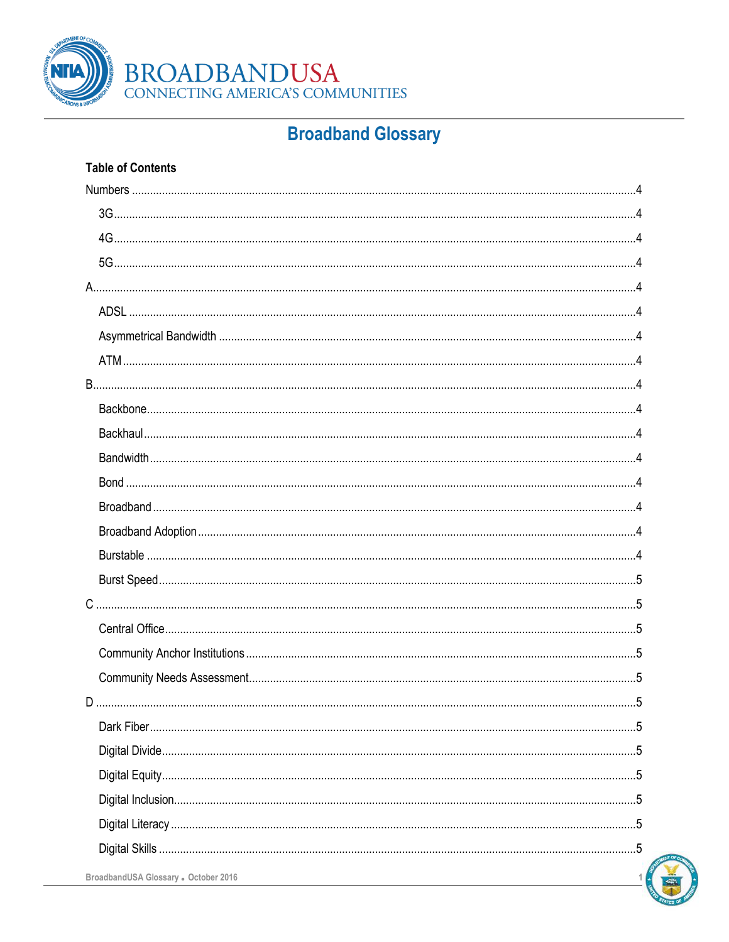

### **Broadband Glossary**

### **Table of Contents**



BroadbandUSA Glossary • October 2016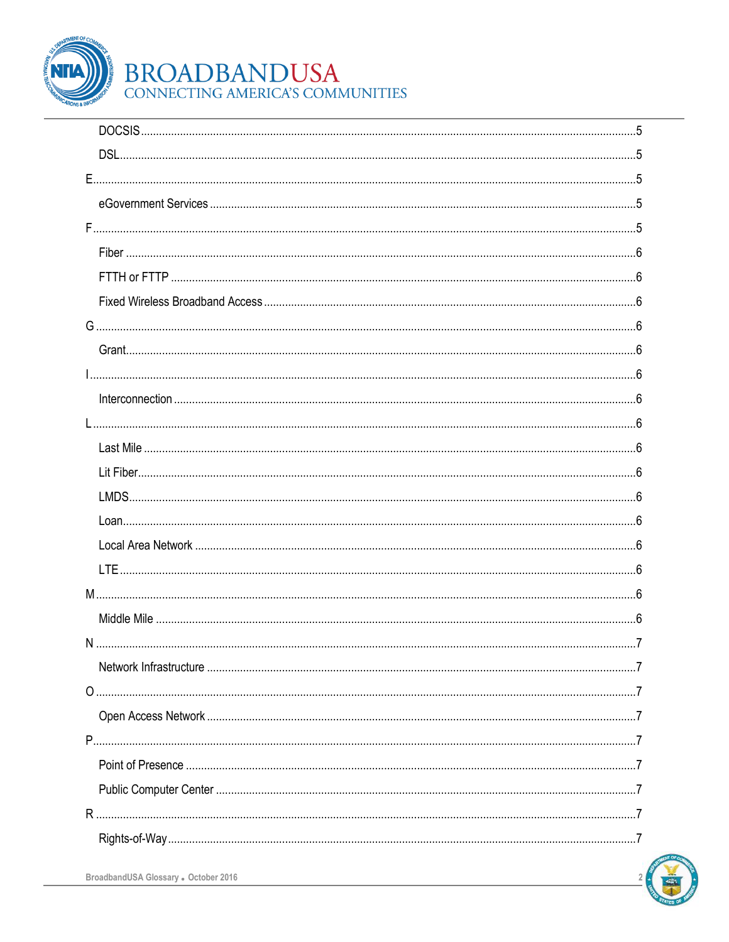

# BROADBANDUSA<br>CONNECTING AMERICA'S COMMUNITIES

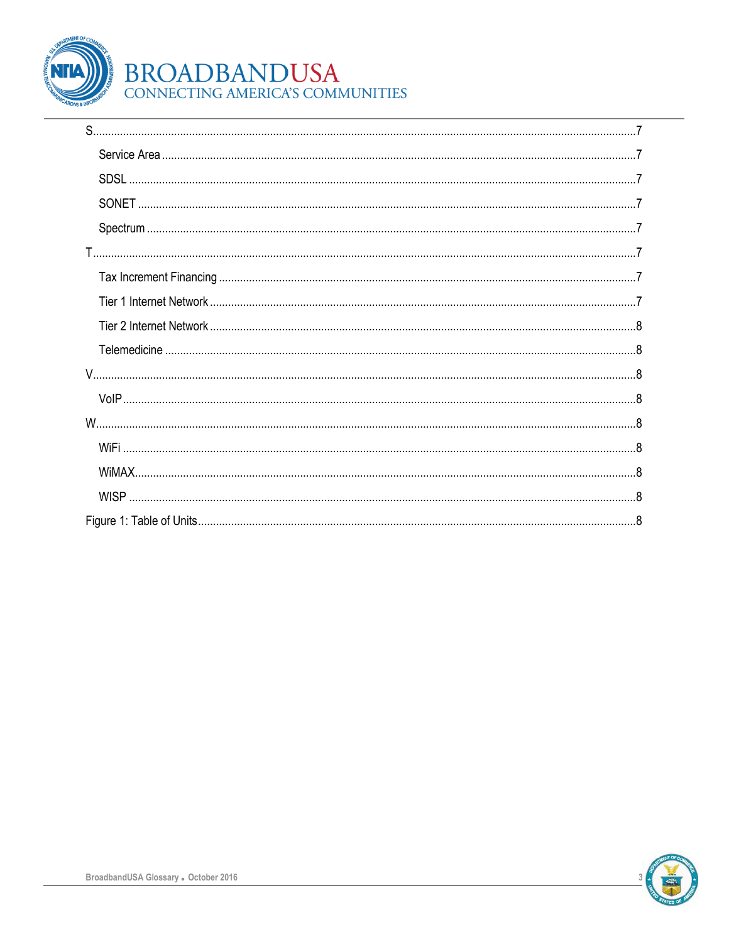

# BROADBANDUSA<br>CONNECTING AMERICA'S COMMUNITIES

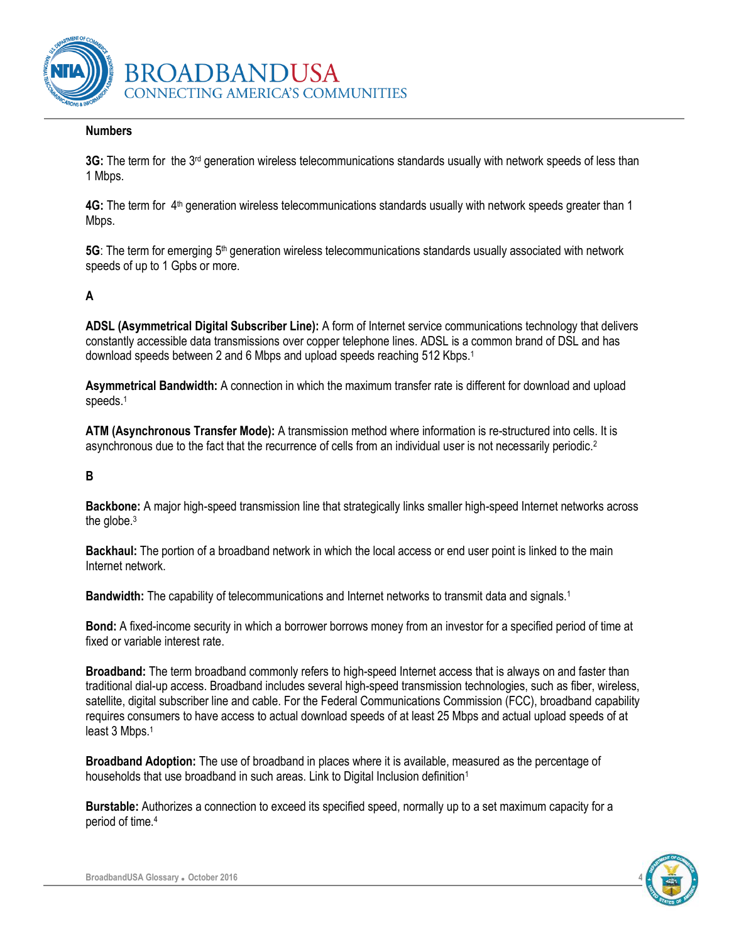

#### <span id="page-3-0"></span>**Numbers**

<span id="page-3-1"></span>3G: The term for the 3<sup>rd</sup> generation wireless telecommunications standards usually with network speeds of less than 1 Mbps.

<span id="page-3-2"></span>4G: The term for 4<sup>th</sup> generation wireless telecommunications standards usually with network speeds greater than 1 Mbps.

<span id="page-3-3"></span>5G: The term for emerging 5<sup>th</sup> generation wireless telecommunications standards usually associated with network speeds of up to 1 Gpbs or more.

#### <span id="page-3-4"></span>**A**

<span id="page-3-5"></span>**ADSL (Asymmetrical Digital Subscriber Line):** A form of Internet service communications technology that delivers constantly accessible data transmissions over copper telephone lines. ADSL is a common brand of DSL and has download speeds between 2 and 6 Mbps and upload speeds reaching 512 Kbps.<sup>1</sup>

<span id="page-3-6"></span>**Asymmetrical Bandwidth:** A connection in which the maximum transfer rate is different for download and upload speeds.<sup>1</sup>

<span id="page-3-7"></span>**ATM (Asynchronous Transfer Mode):** A transmission method where information is re-structured into cells. It is asynchronous due to the fact that the recurrence of cells from an individual user is not necessarily periodic.<sup>2</sup>

#### <span id="page-3-8"></span>**B**

<span id="page-3-9"></span>**Backbone:** A major high-speed transmission line that strategically links smaller high-speed Internet networks across the globe.<sup>3</sup>

<span id="page-3-10"></span>**Backhaul:** The portion of a broadband network in which the local access or end user point is linked to the main Internet network.

<span id="page-3-11"></span>**Bandwidth:** The capability of telecommunications and Internet networks to transmit data and signals.<sup>1</sup>

<span id="page-3-12"></span>**Bond:** A fixed-income security in which a borrower borrows money from an investor for a specified period of time at fixed or variable interest rate.

<span id="page-3-13"></span>**Broadband:** The term broadband commonly refers to high-speed Internet access that is always on and faster than traditional dial-up access. Broadband includes several high-speed transmission technologies, such as fiber, wireless, satellite, digital subscriber line and cable. For the Federal Communications Commission (FCC), broadband capability requires consumers to have access to actual download speeds of at least 25 Mbps and actual upload speeds of at least 3 Mbps. 1

<span id="page-3-14"></span>**Broadband Adoption:** The use of broadband in places where it is available, measured as the percentage of households that use broadband in such areas. Link to Digital Inclusion definition<sup>1</sup>

<span id="page-3-15"></span>**Burstable:** Authorizes a connection to exceed its specified speed, normally up to a set maximum capacity for a period of time.4

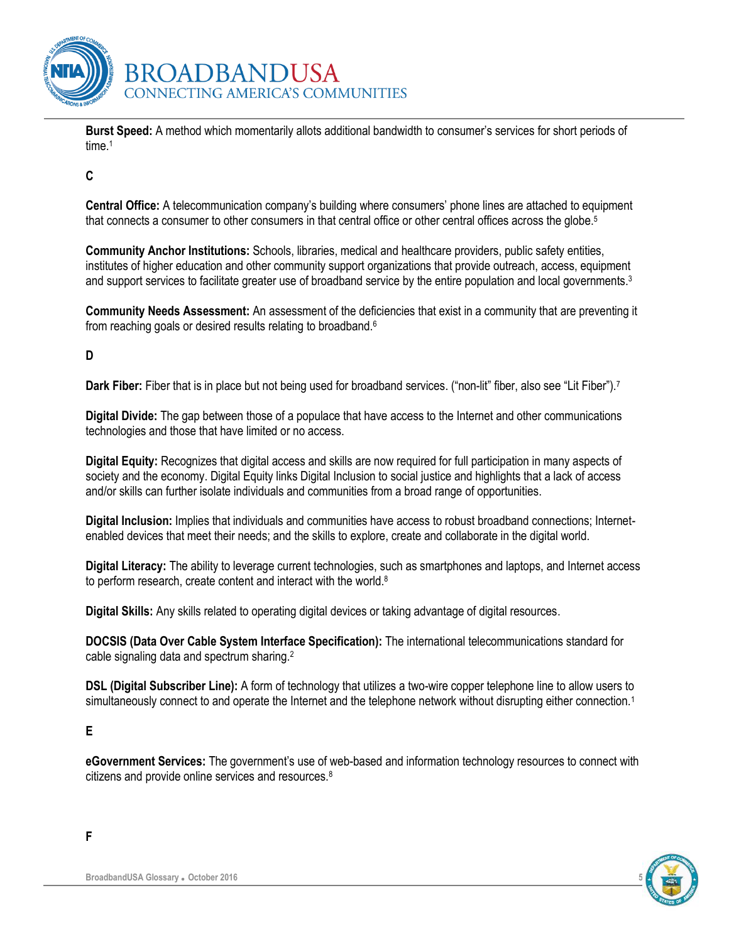

<span id="page-4-0"></span>**Burst Speed:** A method which momentarily allots additional bandwidth to consumer's services for short periods of time.<sup>1</sup>

<span id="page-4-1"></span>**C**

<span id="page-4-2"></span>**Central Office:** A telecommunication company's building where consumers' phone lines are attached to equipment that connects a consumer to other consumers in that central office or other central offices across the globe.<sup>5</sup>

<span id="page-4-3"></span>**Community Anchor Institutions:** Schools, libraries, medical and healthcare providers, public safety entities, institutes of higher education and other community support organizations that provide outreach, access, equipment and support services to facilitate greater use of broadband service by the entire population and local governments.<sup>3</sup>

<span id="page-4-4"></span>**Community Needs Assessment:** An assessment of the deficiencies that exist in a community that are preventing it from reaching goals or desired results relating to broadband.<sup>6</sup>

#### <span id="page-4-5"></span>**D**

<span id="page-4-6"></span>**Dark Fiber:** Fiber that is in place but not being used for broadband services. ("non-lit" fiber, also see "Lit Fiber").<sup>7</sup>

<span id="page-4-7"></span>**Digital Divide:** The gap between those of a populace that have access to the Internet and other communications technologies and those that have limited or no access.

<span id="page-4-8"></span>**Digital Equity:** Recognizes that digital access and skills are now required for full participation in many aspects of society and the economy. Digital Equity links Digital Inclusion to social justice and highlights that a lack of access and/or skills can further isolate individuals and communities from a broad range of opportunities.

<span id="page-4-9"></span>**Digital Inclusion:** Implies that individuals and communities have access to robust broadband connections; Internetenabled devices that meet their needs; and the skills to explore, create and collaborate in the digital world.

<span id="page-4-10"></span>**Digital Literacy:** The ability to leverage current technologies, such as smartphones and laptops, and Internet access to perform research, create content and interact with the world.<sup>8</sup>

<span id="page-4-11"></span>**Digital Skills:** Any skills related to operating digital devices or taking advantage of digital resources.

<span id="page-4-12"></span>**DOCSIS (Data Over Cable System Interface Specification):** The international telecommunications standard for cable signaling data and spectrum sharing.<sup>2</sup>

<span id="page-4-13"></span>**DSL (Digital Subscriber Line):** A form of technology that utilizes a two-wire copper telephone line to allow users to simultaneously connect to and operate the Internet and the telephone network without disrupting either connection.<sup>1</sup>

#### <span id="page-4-14"></span>**E**

<span id="page-4-16"></span>**F**

<span id="page-4-15"></span>**eGovernment Services:** The government's use of web-based and information technology resources to connect with citizens and provide online services and resources.<sup>8</sup>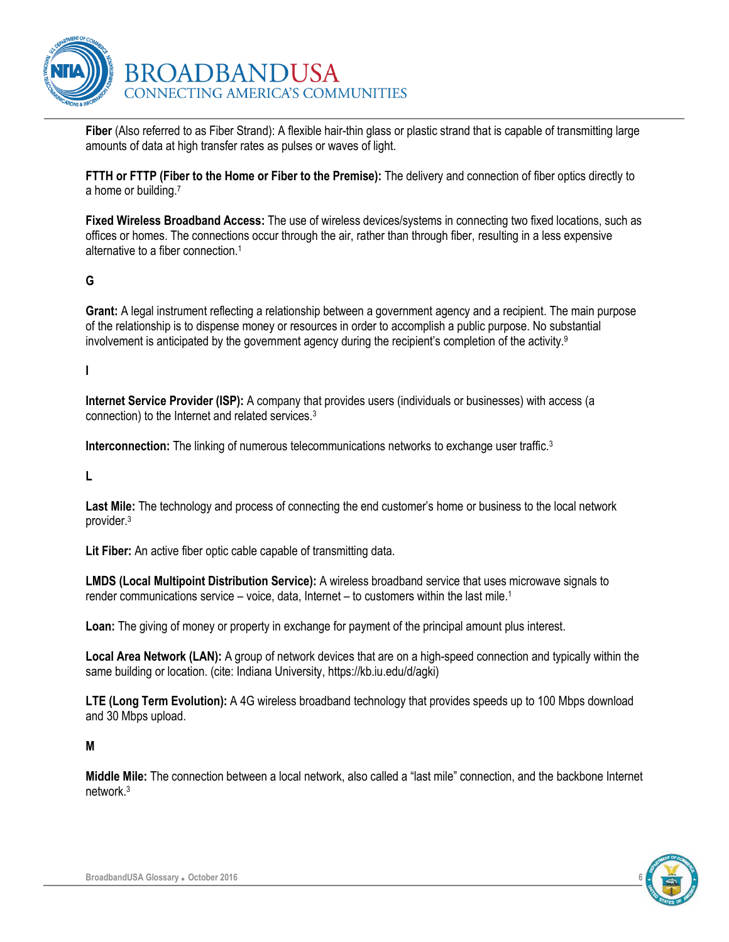

<span id="page-5-0"></span>**Fiber** (Also referred to as Fiber Strand): A flexible hair-thin glass or plastic strand that is capable of transmitting large amounts of data at high transfer rates as pulses or waves of light.

<span id="page-5-1"></span>**FTTH or FTTP (Fiber to the Home or Fiber to the Premise):** The delivery and connection of fiber optics directly to a home or building.<sup>7</sup>

<span id="page-5-2"></span>**Fixed Wireless Broadband Access:** The use of wireless devices/systems in connecting two fixed locations, such as offices or homes. The connections occur through the air, rather than through fiber, resulting in a less expensive alternative to a fiber connection.<sup>1</sup>

#### <span id="page-5-3"></span>**G**

<span id="page-5-4"></span>**Grant:** A legal instrument reflecting a relationship between a government agency and a recipient. The main purpose of the relationship is to dispense money or resources in order to accomplish a public purpose. No substantial involvement is anticipated by the government agency during the recipient's completion of the activity.<sup>9</sup>

#### <span id="page-5-5"></span>**I**

**Internet Service Provider (ISP):** A company that provides users (individuals or businesses) with access (a connection) to the Internet and related services.<sup>3</sup>

<span id="page-5-6"></span>**Interconnection:** The linking of numerous telecommunications networks to exchange user traffic.<sup>3</sup>

<span id="page-5-7"></span>**L**

<span id="page-5-8"></span>Last Mile: The technology and process of connecting the end customer's home or business to the local network provider.<sup>3</sup>

<span id="page-5-9"></span>**Lit Fiber:** An active fiber optic cable capable of transmitting data.

<span id="page-5-10"></span>**LMDS (Local Multipoint Distribution Service):** A wireless broadband service that uses microwave signals to render communications service – voice, data, Internet – to customers within the last mile.<sup>1</sup>

<span id="page-5-11"></span>**Loan:** The giving of money or property in exchange for payment of the principal amount plus interest.

<span id="page-5-12"></span>**Local Area Network (LAN):** A group of network devices that are on a high-speed connection and typically within the same building or location. (cite: Indiana University, https://kb.iu.edu/d/agki)

<span id="page-5-13"></span>**LTE (Long Term Evolution):** A 4G wireless broadband technology that provides speeds up to 100 Mbps download and 30 Mbps upload.

#### <span id="page-5-14"></span>**M**

<span id="page-5-15"></span>**Middle Mile:** The connection between a local network, also called a "last mile" connection, and the backbone Internet network.3

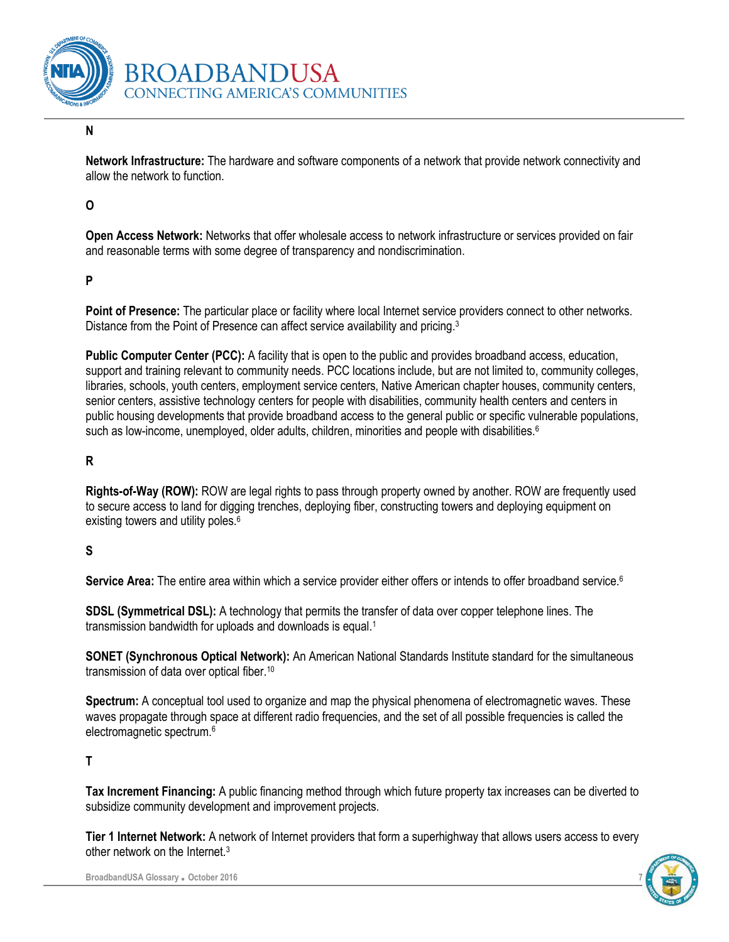

#### <span id="page-6-0"></span>**N**

<span id="page-6-1"></span>**Network Infrastructure:** The hardware and software components of a network that provide network connectivity and allow the network to function.

#### <span id="page-6-2"></span>**O**

<span id="page-6-3"></span>**Open Access Network:** Networks that offer wholesale access to network infrastructure or services provided on fair and reasonable terms with some degree of transparency and nondiscrimination.

#### <span id="page-6-4"></span>**P**

<span id="page-6-5"></span>Point of Presence: The particular place or facility where local Internet service providers connect to other networks. Distance from the Point of Presence can affect service availability and pricing.<sup>3</sup>

<span id="page-6-6"></span>**Public Computer Center (PCC):** A facility that is open to the public and provides broadband access, education, support and training relevant to community needs. PCC locations include, but are not limited to, community colleges, libraries, schools, youth centers, employment service centers, Native American chapter houses, community centers, senior centers, assistive technology centers for people with disabilities, community health centers and centers in public housing developments that provide broadband access to the general public or specific vulnerable populations, such as low-income, unemployed, older adults, children, minorities and people with disabilities.<sup>6</sup>

#### <span id="page-6-7"></span>**R**

<span id="page-6-8"></span>**Rights-of-Way (ROW):** ROW are legal rights to pass through property owned by another. ROW are frequently used to secure access to land for digging trenches, deploying fiber, constructing towers and deploying equipment on existing towers and utility poles.<sup>6</sup>

#### <span id="page-6-9"></span>**S**

<span id="page-6-10"></span>**Service Area:** The entire area within which a service provider either offers or intends to offer broadband service.<sup>6</sup>

<span id="page-6-11"></span>**SDSL (Symmetrical DSL):** A technology that permits the transfer of data over copper telephone lines. The transmission bandwidth for uploads and downloads is equal.<sup>1</sup>

<span id="page-6-12"></span>**SONET (Synchronous Optical Network):** An American National Standards Institute standard for the simultaneous transmission of data over optical fiber.<sup>10</sup>

<span id="page-6-13"></span>**Spectrum:** A conceptual tool used to organize and map the physical phenomena of electromagnetic waves. These waves propagate through space at different radio frequencies, and the set of all possible frequencies is called the electromagnetic spectrum.<sup>6</sup>

#### <span id="page-6-14"></span>**T**

<span id="page-6-15"></span>**Tax Increment Financing:** A public financing method through which future property tax increases can be diverted to subsidize community development and improvement projects.

<span id="page-6-16"></span>**Tier 1 Internet Network:** A network of Internet providers that form a superhighway that allows users access to every other network on the Internet.3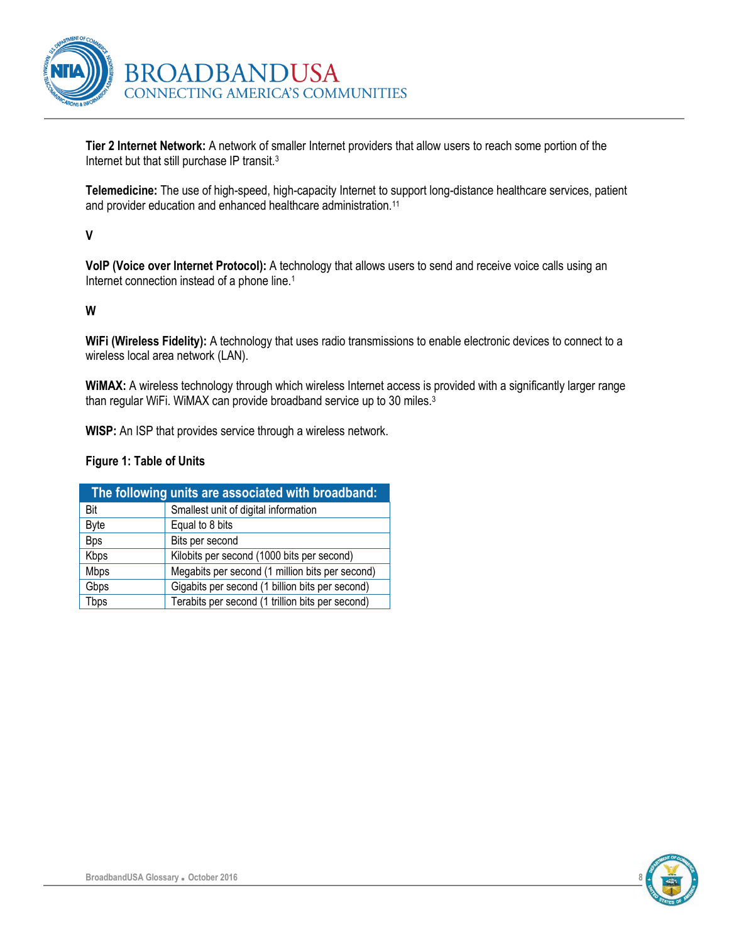

<span id="page-7-0"></span>**Tier 2 Internet Network:** A network of smaller Internet providers that allow users to reach some portion of the Internet but that still purchase IP transit.<sup>3</sup>

<span id="page-7-1"></span>**Telemedicine:** The use of high-speed, high-capacity Internet to support long-distance healthcare services, patient and provider education and enhanced healthcare administration.<sup>11</sup>

#### <span id="page-7-2"></span>**V**

<span id="page-7-3"></span>**VoIP (Voice over Internet Protocol):** A technology that allows users to send and receive voice calls using an Internet connection instead of a phone line.<sup>1</sup>

#### <span id="page-7-4"></span>**W**

<span id="page-7-5"></span>**WiFi (Wireless Fidelity):** A technology that uses radio transmissions to enable electronic devices to connect to a wireless local area network (LAN).

<span id="page-7-6"></span>**WiMAX:** A wireless technology through which wireless Internet access is provided with a significantly larger range than regular WiFi. WiMAX can provide broadband service up to 30 miles.<sup>3</sup>

<span id="page-7-7"></span>**WISP:** An ISP that provides service through a wireless network.

#### <span id="page-7-8"></span>**Figure 1: Table of Units**

| The following units are associated with broadband: |                                                  |  |
|----------------------------------------------------|--------------------------------------------------|--|
| Bit                                                | Smallest unit of digital information             |  |
| <b>Byte</b>                                        | Equal to 8 bits                                  |  |
| <b>Bps</b>                                         | Bits per second                                  |  |
| Kbps                                               | Kilobits per second (1000 bits per second)       |  |
| <b>Mbps</b>                                        | Megabits per second (1 million bits per second)  |  |
| Gbps                                               | Gigabits per second (1 billion bits per second)  |  |
| Tbps                                               | Terabits per second (1 trillion bits per second) |  |